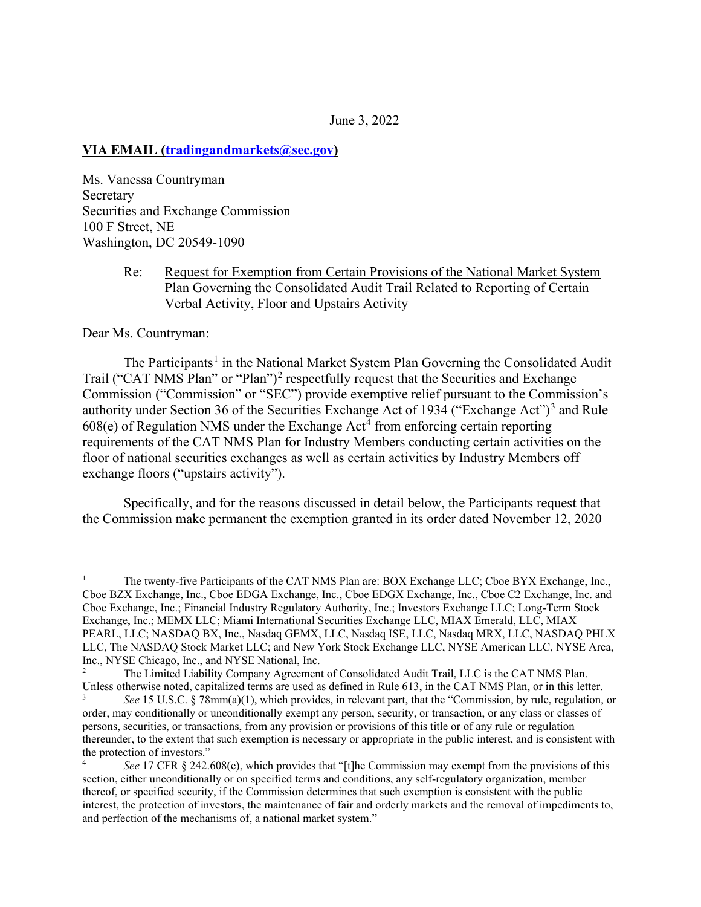#### June 3, 2022

#### **VIA EMAIL (tradingandmarkets@sec.gov)**

Ms. Vanessa Countryman Secretary Securities and Exchange Commission 100 F Street, NE Washington, DC 20549-1090

## Re: Request for Exemption from Certain Provisions of the National Market System Plan Governing the Consolidated Audit Trail Related to Reporting of Certain Verbal Activity, Floor and Upstairs Activity

Dear Ms. Countryman:

The Participants<sup>1</sup> in the National Market System Plan Governing the Consolidated Audit Trail ("CAT NMS Plan" or "Plan")<sup>2</sup> respectfully request that the Securities and Exchange Commission ("Commission" or "SEC") provide exemptive relief pursuant to the Commission's authority under Section 36 of the Securities Exchange Act of 1934 ("Exchange Act")<sup>3</sup> and Rule  $608(e)$  of Regulation NMS under the Exchange Act<sup>4</sup> from enforcing certain reporting requirements of the CAT NMS Plan for Industry Members conducting certain activities on the floor of national securities exchanges as well as certain activities by Industry Members off exchange floors ("upstairs activity").

Specifically, and for the reasons discussed in detail below, the Participants request that the Commission make permanent the exemption granted in its order dated November 12, 2020

<sup>1</sup> The twenty-five Participants of the CAT NMS Plan are: BOX Exchange LLC; Cboe BYX Exchange, Inc., Cboe BZX Exchange, Inc., Cboe EDGA Exchange, Inc., Cboe EDGX Exchange, Inc., Cboe C2 Exchange, Inc. and Cboe Exchange, Inc.; Financial Industry Regulatory Authority, Inc.; Investors Exchange LLC; Long-Term Stock Exchange, Inc.; MEMX LLC; Miami International Securities Exchange LLC, MIAX Emerald, LLC, MIAX PEARL, LLC; NASDAQ BX, Inc., Nasdaq GEMX, LLC, Nasdaq ISE, LLC, Nasdaq MRX, LLC, NASDAQ PHLX LLC, The NASDAQ Stock Market LLC; and New York Stock Exchange LLC, NYSE American LLC, NYSE Arca, Inc., NYSE Chicago, Inc., and NYSE National, Inc.<br>
<sup>2</sup> The Limited Liphility Company Agreement

The Limited Liability Company Agreement of Consolidated Audit Trail, LLC is the CAT NMS Plan. Unless otherwise noted, capitalized terms are used as defined in Rule 613, in the CAT NMS Plan, or in this letter.

<sup>3</sup> *See* 15 U.S.C. § 78mm(a)(1), which provides, in relevant part, that the "Commission, by rule, regulation, or order, may conditionally or unconditionally exempt any person, security, or transaction, or any class or classes of persons, securities, or transactions, from any provision or provisions of this title or of any rule or regulation thereunder, to the extent that such exemption is necessary or appropriate in the public interest, and is consistent with the protection of investors."

<sup>4</sup> *See* 17 CFR § 242.608(e), which provides that "[t]he Commission may exempt from the provisions of this section, either unconditionally or on specified terms and conditions, any self-regulatory organization, member thereof, or specified security, if the Commission determines that such exemption is consistent with the public interest, the protection of investors, the maintenance of fair and orderly markets and the removal of impediments to, and perfection of the mechanisms of, a national market system."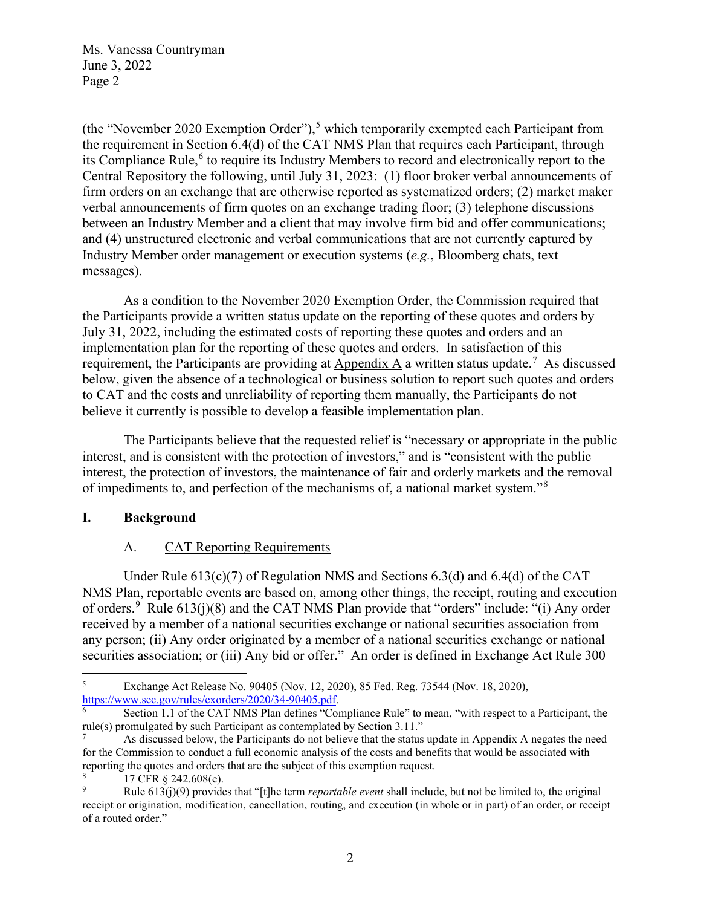(the "November 2020 Exemption Order"),<sup>5</sup> which temporarily exempted each Participant from the requirement in Section 6.4(d) of the CAT NMS Plan that requires each Participant, through its Compliance Rule,<sup>6</sup> to require its Industry Members to record and electronically report to the Central Repository the following, until July 31, 2023: (1) floor broker verbal announcements of firm orders on an exchange that are otherwise reported as systematized orders; (2) market maker verbal announcements of firm quotes on an exchange trading floor; (3) telephone discussions between an Industry Member and a client that may involve firm bid and offer communications; and (4) unstructured electronic and verbal communications that are not currently captured by Industry Member order management or execution systems (*e.g.*, Bloomberg chats, text messages).

As a condition to the November 2020 Exemption Order, the Commission required that the Participants provide a written status update on the reporting of these quotes and orders by July 31, 2022, including the estimated costs of reporting these quotes and orders and an implementation plan for the reporting of these quotes and orders. In satisfaction of this requirement, the Participants are providing at  $\Delta$ ppendix  $\Delta$  a written status update.<sup>7</sup> As discussed below, given the absence of a technological or business solution to report such quotes and orders to CAT and the costs and unreliability of reporting them manually, the Participants do not believe it currently is possible to develop a feasible implementation plan.

The Participants believe that the requested relief is "necessary or appropriate in the public interest, and is consistent with the protection of investors," and is "consistent with the public interest, the protection of investors, the maintenance of fair and orderly markets and the removal of impediments to, and perfection of the mechanisms of, a national market system."<sup>8</sup>

## **I. Background**

## A. CAT Reporting Requirements

Under Rule  $613(c)(7)$  of Regulation NMS and Sections 6.3(d) and 6.4(d) of the CAT NMS Plan, reportable events are based on, among other things, the receipt, routing and execution of orders. <sup>9</sup> Rule  $613(j)(8)$  and the CAT NMS Plan provide that "orders" include: "(i) Any order received by a member of a national securities exchange or national securities association from any person; (ii) Any order originated by a member of a national securities exchange or national securities association; or (iii) Any bid or offer." An order is defined in Exchange Act Rule 300

<sup>5</sup> Exchange Act Release No. 90405 (Nov. 12, 2020), 85 Fed. Reg. 73544 (Nov. 18, 2020), https://www.sec.gov/rules/exorders/2020/34-90405.pdf.

Section 1.1 of the CAT NMS Plan defines "Compliance Rule" to mean, "with respect to a Participant, the rule(s) promulgated by such Participant as contemplated by Section 3.11."

<sup>7</sup> As discussed below, the Participants do not believe that the status update in Appendix A negates the need for the Commission to conduct a full economic analysis of the costs and benefits that would be associated with reporting the quotes and orders that are the subject of this exemption request.

<sup>8</sup> 17 CFR § 242.608(e).

<sup>9</sup> Rule 613(j)(9) provides that "[t]he term *reportable event* shall include, but not be limited to, the original receipt or origination, modification, cancellation, routing, and execution (in whole or in part) of an order, or receipt of a routed order."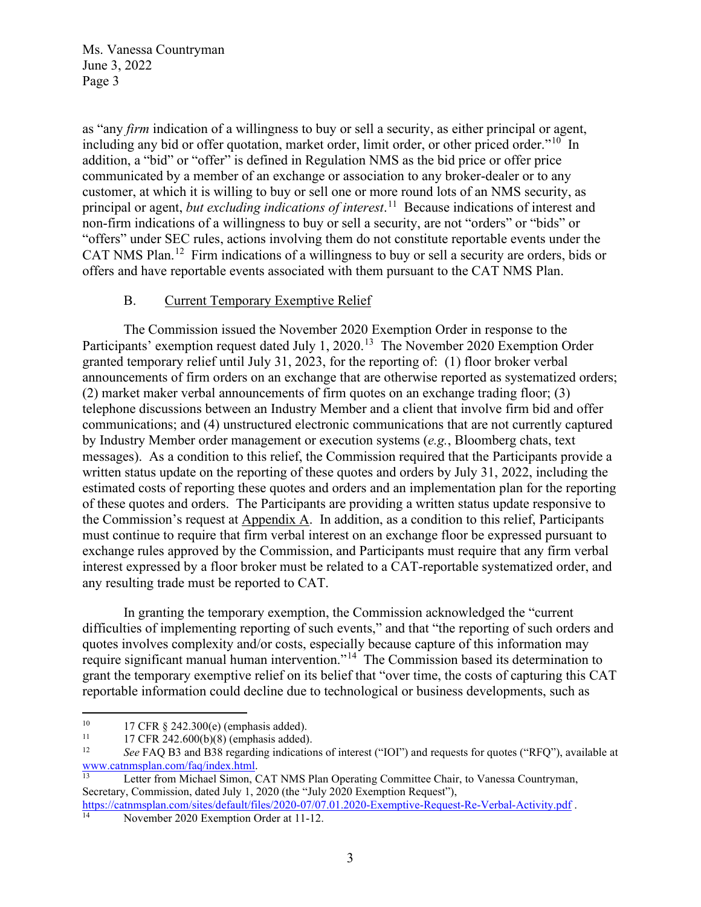as "any *firm* indication of a willingness to buy or sell a security, as either principal or agent, including any bid or offer quotation, market order, limit order, or other priced order."<sup>10</sup> In addition, a "bid" or "offer" is defined in Regulation NMS as the bid price or offer price communicated by a member of an exchange or association to any broker-dealer or to any customer, at which it is willing to buy or sell one or more round lots of an NMS security, as principal or agent, *but excluding indications of interest*. 11 Because indications of interest and non-firm indications of a willingness to buy or sell a security, are not "orders" or "bids" or "offers" under SEC rules, actions involving them do not constitute reportable events under the CAT NMS Plan.<sup>12</sup> Firm indications of a willingness to buy or sell a security are orders, bids or offers and have reportable events associated with them pursuant to the CAT NMS Plan.

#### B. Current Temporary Exemptive Relief

The Commission issued the November 2020 Exemption Order in response to the Participants' exemption request dated July 1, 2020.<sup>13</sup> The November 2020 Exemption Order granted temporary relief until July 31, 2023, for the reporting of: (1) floor broker verbal announcements of firm orders on an exchange that are otherwise reported as systematized orders; (2) market maker verbal announcements of firm quotes on an exchange trading floor; (3) telephone discussions between an Industry Member and a client that involve firm bid and offer communications; and (4) unstructured electronic communications that are not currently captured by Industry Member order management or execution systems (*e.g.*, Bloomberg chats, text messages). As a condition to this relief, the Commission required that the Participants provide a written status update on the reporting of these quotes and orders by July 31, 2022, including the estimated costs of reporting these quotes and orders and an implementation plan for the reporting of these quotes and orders. The Participants are providing a written status update responsive to the Commission's request at Appendix A. In addition, as a condition to this relief, Participants must continue to require that firm verbal interest on an exchange floor be expressed pursuant to exchange rules approved by the Commission, and Participants must require that any firm verbal interest expressed by a floor broker must be related to a CAT-reportable systematized order, and any resulting trade must be reported to CAT.

In granting the temporary exemption, the Commission acknowledged the "current difficulties of implementing reporting of such events," and that "the reporting of such orders and quotes involves complexity and/or costs, especially because capture of this information may require significant manual human intervention."14 The Commission based its determination to grant the temporary exemptive relief on its belief that "over time, the costs of capturing this CAT reportable information could decline due to technological or business developments, such as

<sup>13</sup> Letter from Michael Simon, CAT NMS Plan Operating Committee Chair, to Vanessa Countryman, Secretary, Commission, dated July 1, 2020 (the "July 2020 Exemption Request"),

<sup>&</sup>lt;sup>10</sup> 17 CFR § 242.300(e) (emphasis added).<br><sup>11</sup> 17 CFR 242.600(b)(8) (emphasis added).

<sup>&</sup>lt;sup>11</sup> 17 CFR 242.600(b)(8) (emphasis added).<br><sup>12</sup> See EAO B3 and B38 regarding indication

<sup>&</sup>lt;sup>12</sup> *See* FAQ B3 and B38 regarding indications of interest ("IOI") and requests for quotes ("RFQ"), available at www.catnmsplan.com/faq/index.html.

https://catnmsplan.com/sites/default/files/2020-07/07.01.2020-Exemptive-Request-Re-Verbal-Activity.pdf . 14 November 2020 Exemption Order at 11-12.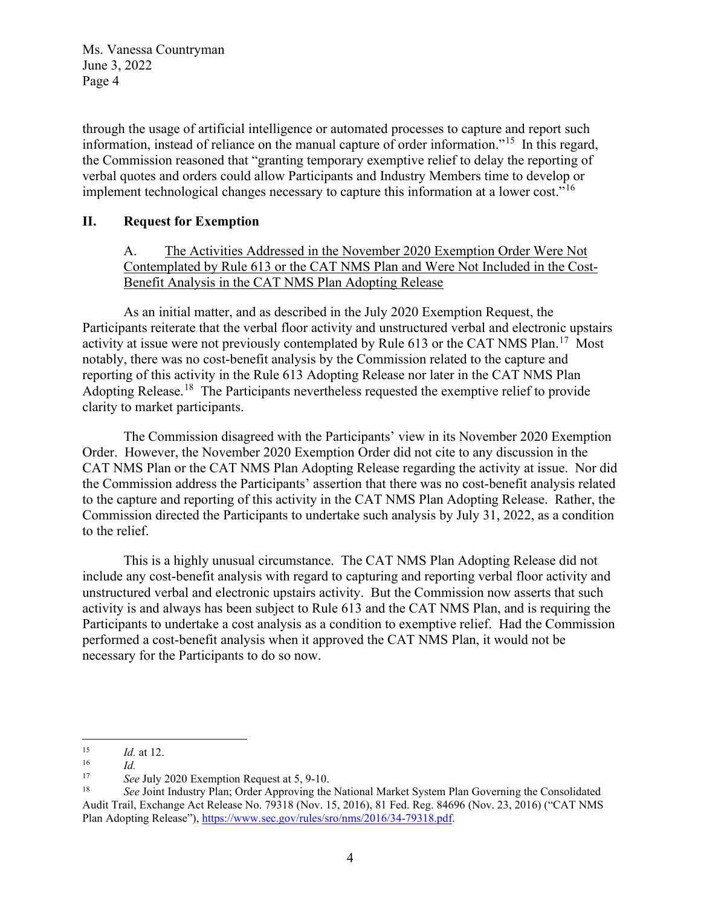through the usage of artificial intelligence or automated processes to capture and report such information, instead of reliance on the manual capture of order information."15 In this regard, the Commission reasoned that "granting temporary exemptive relief to delay the reporting of verbal quotes and orders could allow Participants and Industry Members time to develop or implement technological changes necessary to capture this information at a lower cost."<sup>16</sup>

## **II. Request for Exemption**

A. The Activities Addressed in the November 2020 Exemption Order Were Not Contemplated by Rule 613 or the CAT NMS Plan and Were Not Included in the Cost-Benefit Analysis in the CAT NMS Plan Adopting Release

As an initial matter, and as described in the July 2020 Exemption Request, the Participants reiterate that the verbal floor activity and unstructured verbal and electronic upstairs activity at issue were not previously contemplated by Rule 613 or the CAT NMS Plan.<sup>17</sup> Most notably, there was no cost-benefit analysis by the Commission related to the capture and reporting of this activity in the Rule 613 Adopting Release nor later in the CAT NMS Plan Adopting Release.<sup>18</sup> The Participants nevertheless requested the exemptive relief to provide clarity to market participants.

The Commission disagreed with the Participants' view in its November 2020 Exemption Order. However, the November 2020 Exemption Order did not cite to any discussion in the CAT NMS Plan or the CAT NMS Plan Adopting Release regarding the activity at issue. Nor did the Commission address the Participants' assertion that there was no cost-benefit analysis related to the capture and reporting of this activity in the CAT NMS Plan Adopting Release. Rather, the Commission directed the Participants to undertake such analysis by July 31, 2022, as a condition to the relief.

This is a highly unusual circumstance. The CAT NMS Plan Adopting Release did not include any cost-benefit analysis with regard to capturing and reporting verbal floor activity and unstructured verbal and electronic upstairs activity. But the Commission now asserts that such activity is and always has been subject to Rule 613 and the CAT NMS Plan, and is requiring the Participants to undertake a cost analysis as a condition to exemptive relief. Had the Commission performed a cost-benefit analysis when it approved the CAT NMS Plan, it would not be necessary for the Participants to do so now.

 $\frac{15}{16}$  *Id.* at 12.

 $\frac{16}{17}$  *Id.*<br>See

<sup>17</sup>*See* July 2020 Exemption Request at 5, 9-10. 18 *See* Joint Industry Plan; Order Approving the National Market System Plan Governing the Consolidated Audit Trail, Exchange Act Release No. 79318 (Nov. 15, 2016), 81 Fed. Reg. 84696 (Nov. 23, 2016) ("CAT NMS Plan Adopting Release"), https://www.sec.gov/rules/sro/nms/2016/34-79318.pdf.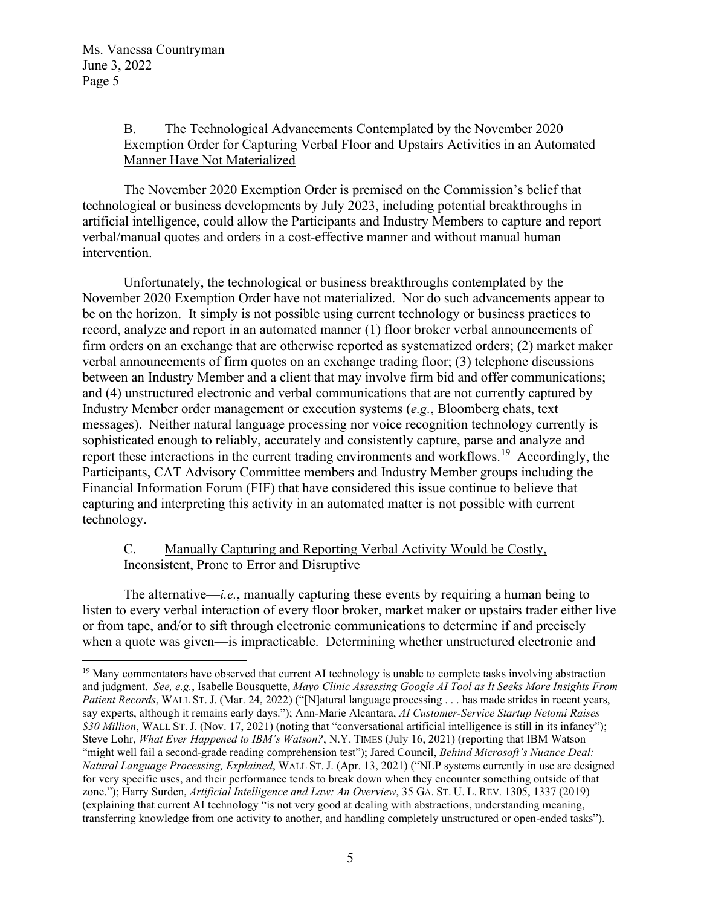## B. The Technological Advancements Contemplated by the November 2020 Exemption Order for Capturing Verbal Floor and Upstairs Activities in an Automated Manner Have Not Materialized

The November 2020 Exemption Order is premised on the Commission's belief that technological or business developments by July 2023, including potential breakthroughs in artificial intelligence, could allow the Participants and Industry Members to capture and report verbal/manual quotes and orders in a cost-effective manner and without manual human intervention.

Unfortunately, the technological or business breakthroughs contemplated by the November 2020 Exemption Order have not materialized. Nor do such advancements appear to be on the horizon. It simply is not possible using current technology or business practices to record, analyze and report in an automated manner (1) floor broker verbal announcements of firm orders on an exchange that are otherwise reported as systematized orders; (2) market maker verbal announcements of firm quotes on an exchange trading floor; (3) telephone discussions between an Industry Member and a client that may involve firm bid and offer communications; and (4) unstructured electronic and verbal communications that are not currently captured by Industry Member order management or execution systems (*e.g.*, Bloomberg chats, text messages). Neither natural language processing nor voice recognition technology currently is sophisticated enough to reliably, accurately and consistently capture, parse and analyze and report these interactions in the current trading environments and workflows.<sup>19</sup> Accordingly, the Participants, CAT Advisory Committee members and Industry Member groups including the Financial Information Forum (FIF) that have considered this issue continue to believe that capturing and interpreting this activity in an automated matter is not possible with current technology.

# C. Manually Capturing and Reporting Verbal Activity Would be Costly, Inconsistent, Prone to Error and Disruptive

The alternative—*i.e.*, manually capturing these events by requiring a human being to listen to every verbal interaction of every floor broker, market maker or upstairs trader either live or from tape, and/or to sift through electronic communications to determine if and precisely when a quote was given—is impracticable. Determining whether unstructured electronic and

<sup>&</sup>lt;sup>19</sup> Many commentators have observed that current AI technology is unable to complete tasks involving abstraction and judgment. *See, e.g.*, Isabelle Bousquette, *Mayo Clinic Assessing Google AI Tool as It Seeks More Insights From Patient Records*, WALL ST. J. (Mar. 24, 2022) ("[N]atural language processing . . . has made strides in recent years, say experts, although it remains early days."); Ann-Marie Alcantara, *AI Customer-Service Startup Netomi Raises \$30 Million*, WALL ST. J. (Nov. 17, 2021) (noting that "conversational artificial intelligence is still in its infancy"); Steve Lohr, *What Ever Happened to IBM's Watson?*, N.Y. TIMES (July 16, 2021) (reporting that IBM Watson "might well fail a second-grade reading comprehension test"); Jared Council, *Behind Microsoft's Nuance Deal: Natural Language Processing, Explained*, WALL ST. J. (Apr. 13, 2021) ("NLP systems currently in use are designed for very specific uses, and their performance tends to break down when they encounter something outside of that zone."); Harry Surden, *Artificial Intelligence and Law: An Overview*, 35 GA. ST. U. L. REV. 1305, 1337 (2019) (explaining that current AI technology "is not very good at dealing with abstractions, understanding meaning, transferring knowledge from one activity to another, and handling completely unstructured or open-ended tasks").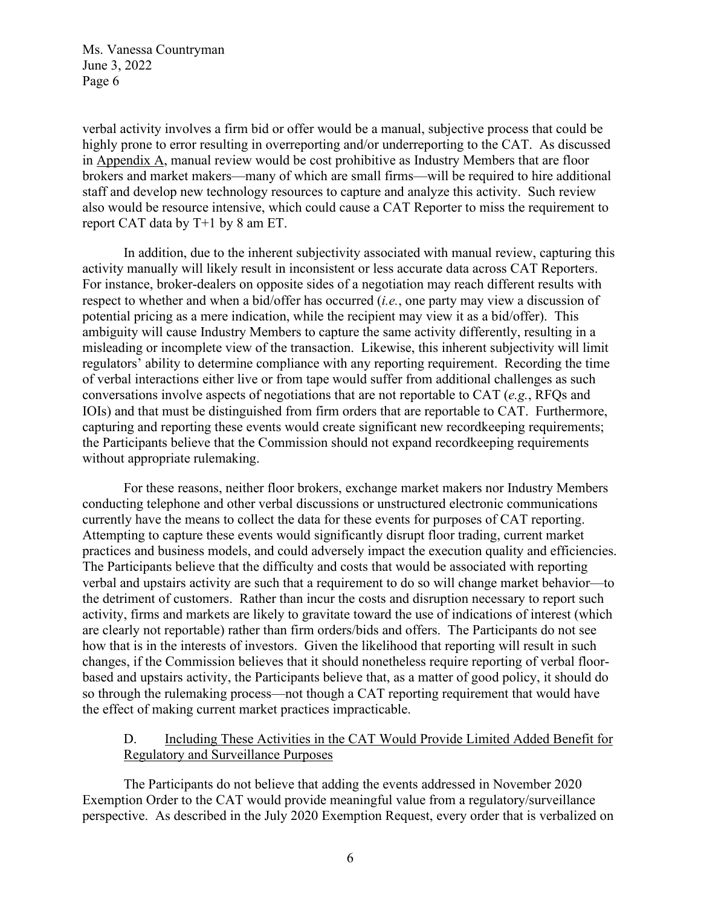verbal activity involves a firm bid or offer would be a manual, subjective process that could be highly prone to error resulting in overreporting and/or underreporting to the CAT. As discussed in Appendix A, manual review would be cost prohibitive as Industry Members that are floor brokers and market makers—many of which are small firms—will be required to hire additional staff and develop new technology resources to capture and analyze this activity. Such review also would be resource intensive, which could cause a CAT Reporter to miss the requirement to report CAT data by T+1 by 8 am ET.

In addition, due to the inherent subjectivity associated with manual review, capturing this activity manually will likely result in inconsistent or less accurate data across CAT Reporters. For instance, broker-dealers on opposite sides of a negotiation may reach different results with respect to whether and when a bid/offer has occurred (*i.e.*, one party may view a discussion of potential pricing as a mere indication, while the recipient may view it as a bid/offer). This ambiguity will cause Industry Members to capture the same activity differently, resulting in a misleading or incomplete view of the transaction. Likewise, this inherent subjectivity will limit regulators' ability to determine compliance with any reporting requirement. Recording the time of verbal interactions either live or from tape would suffer from additional challenges as such conversations involve aspects of negotiations that are not reportable to CAT (*e.g.*, RFQs and IOIs) and that must be distinguished from firm orders that are reportable to CAT. Furthermore, capturing and reporting these events would create significant new recordkeeping requirements; the Participants believe that the Commission should not expand recordkeeping requirements without appropriate rulemaking.

For these reasons, neither floor brokers, exchange market makers nor Industry Members conducting telephone and other verbal discussions or unstructured electronic communications currently have the means to collect the data for these events for purposes of CAT reporting. Attempting to capture these events would significantly disrupt floor trading, current market practices and business models, and could adversely impact the execution quality and efficiencies. The Participants believe that the difficulty and costs that would be associated with reporting verbal and upstairs activity are such that a requirement to do so will change market behavior—to the detriment of customers. Rather than incur the costs and disruption necessary to report such activity, firms and markets are likely to gravitate toward the use of indications of interest (which are clearly not reportable) rather than firm orders/bids and offers. The Participants do not see how that is in the interests of investors. Given the likelihood that reporting will result in such changes, if the Commission believes that it should nonetheless require reporting of verbal floorbased and upstairs activity, the Participants believe that, as a matter of good policy, it should do so through the rulemaking process—not though a CAT reporting requirement that would have the effect of making current market practices impracticable.

## D. Including These Activities in the CAT Would Provide Limited Added Benefit for Regulatory and Surveillance Purposes

The Participants do not believe that adding the events addressed in November 2020 Exemption Order to the CAT would provide meaningful value from a regulatory/surveillance perspective. As described in the July 2020 Exemption Request, every order that is verbalized on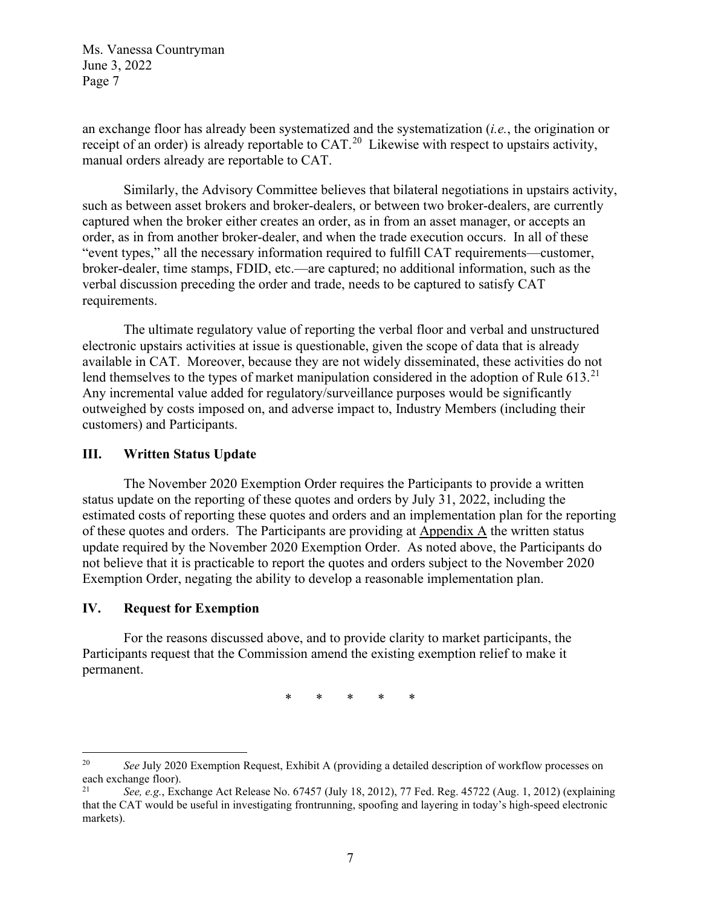an exchange floor has already been systematized and the systematization (*i.e.*, the origination or receipt of an order) is already reportable to CAT.<sup>20</sup> Likewise with respect to upstairs activity, manual orders already are reportable to CAT.

Similarly, the Advisory Committee believes that bilateral negotiations in upstairs activity, such as between asset brokers and broker-dealers, or between two broker-dealers, are currently captured when the broker either creates an order, as in from an asset manager, or accepts an order, as in from another broker-dealer, and when the trade execution occurs. In all of these "event types," all the necessary information required to fulfill CAT requirements—customer, broker-dealer, time stamps, FDID, etc.—are captured; no additional information, such as the verbal discussion preceding the order and trade, needs to be captured to satisfy CAT requirements.

The ultimate regulatory value of reporting the verbal floor and verbal and unstructured electronic upstairs activities at issue is questionable, given the scope of data that is already available in CAT. Moreover, because they are not widely disseminated, these activities do not lend themselves to the types of market manipulation considered in the adoption of Rule  $613$ <sup>21</sup> Any incremental value added for regulatory/surveillance purposes would be significantly outweighed by costs imposed on, and adverse impact to, Industry Members (including their customers) and Participants.

#### **III. Written Status Update**

The November 2020 Exemption Order requires the Participants to provide a written status update on the reporting of these quotes and orders by July 31, 2022, including the estimated costs of reporting these quotes and orders and an implementation plan for the reporting of these quotes and orders. The Participants are providing at Appendix A the written status update required by the November 2020 Exemption Order. As noted above, the Participants do not believe that it is practicable to report the quotes and orders subject to the November 2020 Exemption Order, negating the ability to develop a reasonable implementation plan.

#### **IV. Request for Exemption**

For the reasons discussed above, and to provide clarity to market participants, the Participants request that the Commission amend the existing exemption relief to make it permanent.

\* \* \* \* \*

<sup>&</sup>lt;sup>20</sup> *See* July 2020 Exemption Request, Exhibit A (providing a detailed description of workflow processes on each exchange floor).

<sup>21</sup> *See, e.g.*, Exchange Act Release No. 67457 (July 18, 2012), 77 Fed. Reg. 45722 (Aug. 1, 2012) (explaining that the CAT would be useful in investigating frontrunning, spoofing and layering in today's high-speed electronic markets).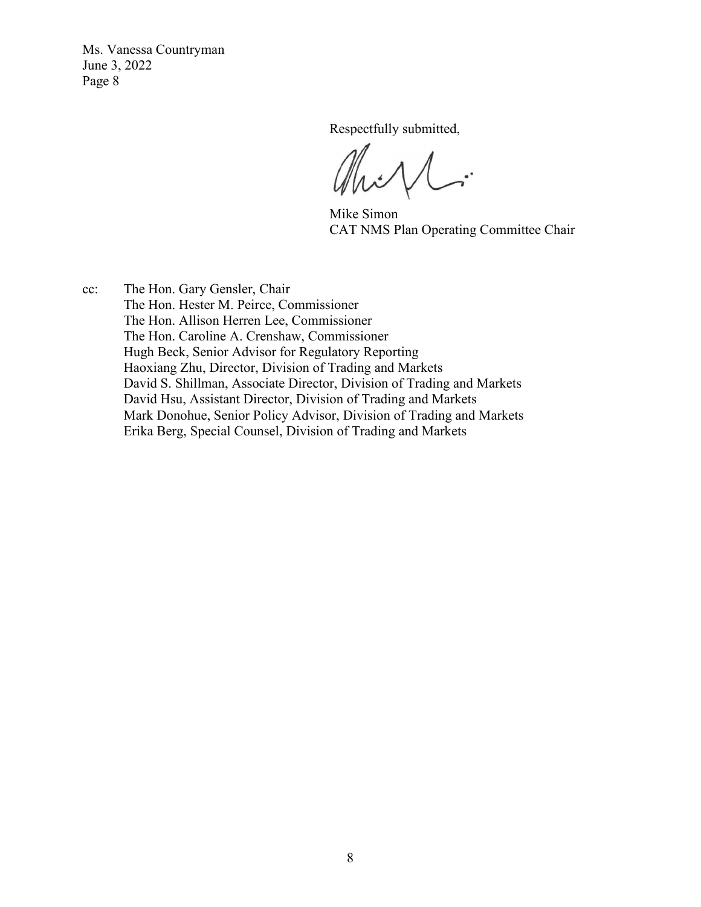Respectfully submitted,

 $\overline{\mathcal{L}}$ .

Mike Simon CAT NMS Plan Operating Committee Chair

cc: The Hon. Gary Gensler, Chair The Hon. Hester M. Peirce, Commissioner The Hon. Allison Herren Lee, Commissioner The Hon. Caroline A. Crenshaw, Commissioner Hugh Beck, Senior Advisor for Regulatory Reporting Haoxiang Zhu, Director, Division of Trading and Markets David S. Shillman, Associate Director, Division of Trading and Markets David Hsu, Assistant Director, Division of Trading and Markets Mark Donohue, Senior Policy Advisor, Division of Trading and Markets Erika Berg, Special Counsel, Division of Trading and Markets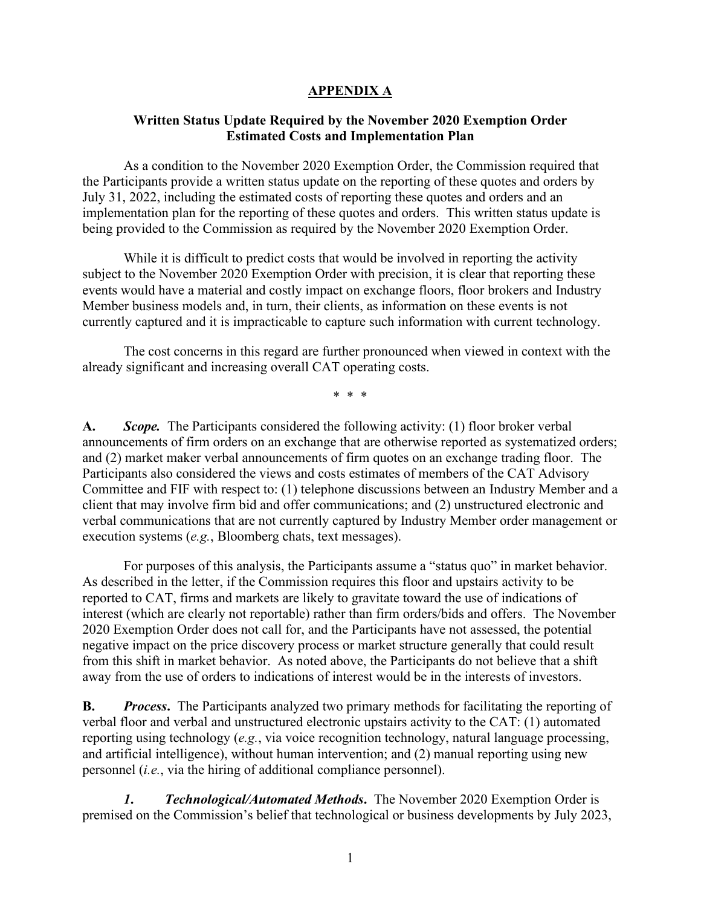#### **APPENDIX A**

#### **Written Status Update Required by the November 2020 Exemption Order Estimated Costs and Implementation Plan**

 As a condition to the November 2020 Exemption Order, the Commission required that the Participants provide a written status update on the reporting of these quotes and orders by July 31, 2022, including the estimated costs of reporting these quotes and orders and an implementation plan for the reporting of these quotes and orders. This written status update is being provided to the Commission as required by the November 2020 Exemption Order.

While it is difficult to predict costs that would be involved in reporting the activity subject to the November 2020 Exemption Order with precision, it is clear that reporting these events would have a material and costly impact on exchange floors, floor brokers and Industry Member business models and, in turn, their clients, as information on these events is not currently captured and it is impracticable to capture such information with current technology.

The cost concerns in this regard are further pronounced when viewed in context with the already significant and increasing overall CAT operating costs.

\* \* \*

**A.** *Scope.* The Participants considered the following activity: (1) floor broker verbal announcements of firm orders on an exchange that are otherwise reported as systematized orders; and (2) market maker verbal announcements of firm quotes on an exchange trading floor. The Participants also considered the views and costs estimates of members of the CAT Advisory Committee and FIF with respect to: (1) telephone discussions between an Industry Member and a client that may involve firm bid and offer communications; and (2) unstructured electronic and verbal communications that are not currently captured by Industry Member order management or execution systems (*e.g.*, Bloomberg chats, text messages).

For purposes of this analysis, the Participants assume a "status quo" in market behavior. As described in the letter, if the Commission requires this floor and upstairs activity to be reported to CAT, firms and markets are likely to gravitate toward the use of indications of interest (which are clearly not reportable) rather than firm orders/bids and offers. The November 2020 Exemption Order does not call for, and the Participants have not assessed, the potential negative impact on the price discovery process or market structure generally that could result from this shift in market behavior. As noted above, the Participants do not believe that a shift away from the use of orders to indications of interest would be in the interests of investors.

**B.** *Process***.** The Participants analyzed two primary methods for facilitating the reporting of verbal floor and verbal and unstructured electronic upstairs activity to the CAT: (1) automated reporting using technology (*e.g.*, via voice recognition technology, natural language processing, and artificial intelligence), without human intervention; and (2) manual reporting using new personnel (*i.e.*, via the hiring of additional compliance personnel).

 *1***.** *Technological/Automated Methods***.** The November 2020 Exemption Order is premised on the Commission's belief that technological or business developments by July 2023,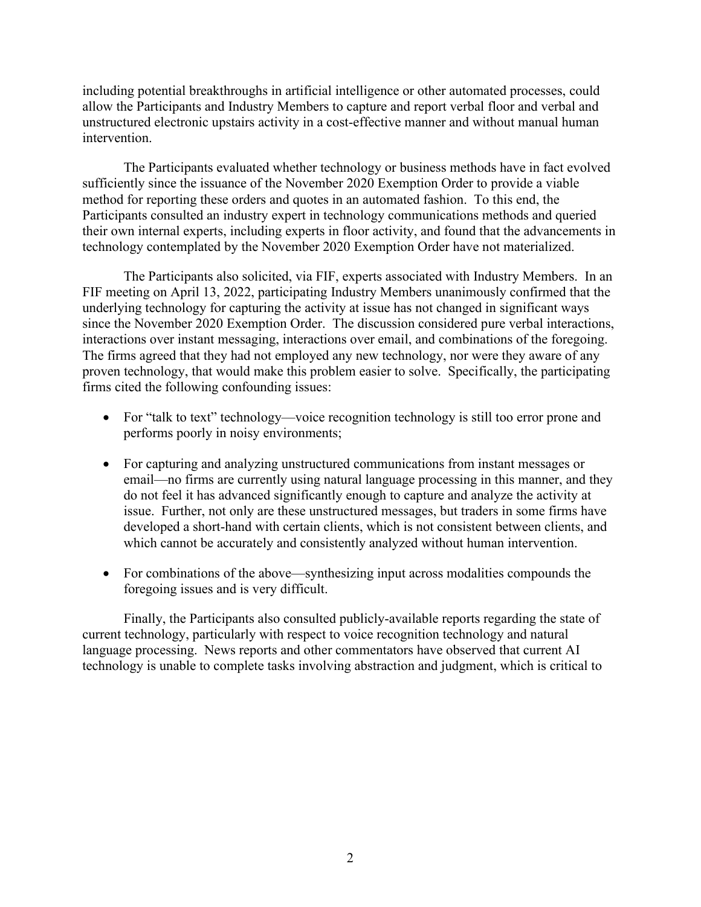including potential breakthroughs in artificial intelligence or other automated processes, could allow the Participants and Industry Members to capture and report verbal floor and verbal and unstructured electronic upstairs activity in a cost-effective manner and without manual human intervention.

The Participants evaluated whether technology or business methods have in fact evolved sufficiently since the issuance of the November 2020 Exemption Order to provide a viable method for reporting these orders and quotes in an automated fashion. To this end, the Participants consulted an industry expert in technology communications methods and queried their own internal experts, including experts in floor activity, and found that the advancements in technology contemplated by the November 2020 Exemption Order have not materialized.

The Participants also solicited, via FIF, experts associated with Industry Members. In an FIF meeting on April 13, 2022, participating Industry Members unanimously confirmed that the underlying technology for capturing the activity at issue has not changed in significant ways since the November 2020 Exemption Order. The discussion considered pure verbal interactions, interactions over instant messaging, interactions over email, and combinations of the foregoing. The firms agreed that they had not employed any new technology, nor were they aware of any proven technology, that would make this problem easier to solve. Specifically, the participating firms cited the following confounding issues:

- For "talk to text" technology—voice recognition technology is still too error prone and performs poorly in noisy environments;
- For capturing and analyzing unstructured communications from instant messages or email—no firms are currently using natural language processing in this manner, and they do not feel it has advanced significantly enough to capture and analyze the activity at issue. Further, not only are these unstructured messages, but traders in some firms have developed a short-hand with certain clients, which is not consistent between clients, and which cannot be accurately and consistently analyzed without human intervention.
- For combinations of the above—synthesizing input across modalities compounds the foregoing issues and is very difficult.

Finally, the Participants also consulted publicly-available reports regarding the state of current technology, particularly with respect to voice recognition technology and natural language processing. News reports and other commentators have observed that current AI technology is unable to complete tasks involving abstraction and judgment, which is critical to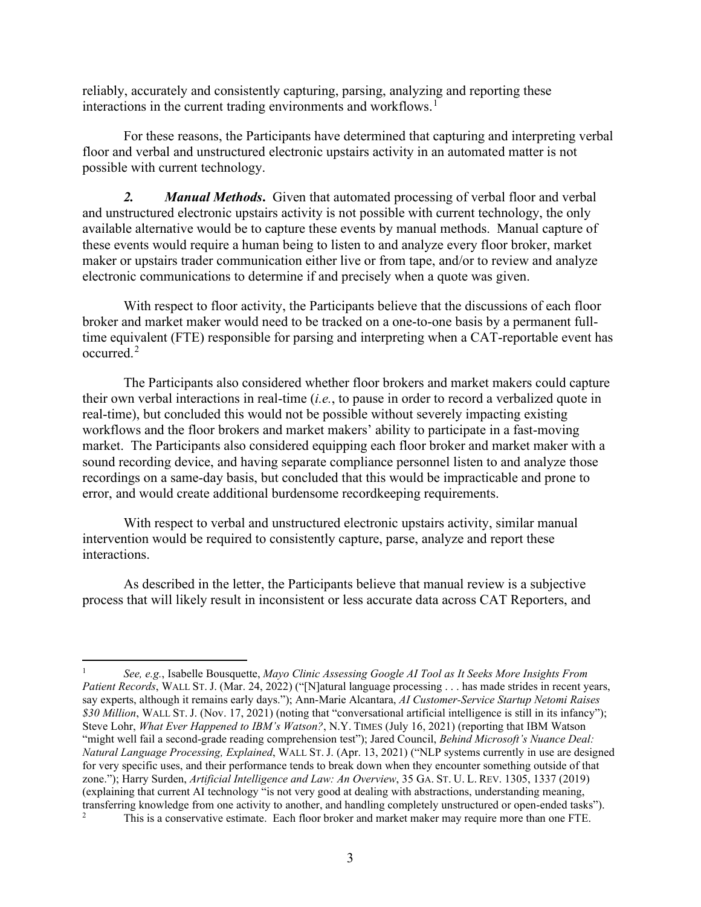reliably, accurately and consistently capturing, parsing, analyzing and reporting these interactions in the current trading environments and workflows.<sup>1</sup>

For these reasons, the Participants have determined that capturing and interpreting verbal floor and verbal and unstructured electronic upstairs activity in an automated matter is not possible with current technology.

*2. Manual Methods***.** Given that automated processing of verbal floor and verbal and unstructured electronic upstairs activity is not possible with current technology, the only available alternative would be to capture these events by manual methods. Manual capture of these events would require a human being to listen to and analyze every floor broker, market maker or upstairs trader communication either live or from tape, and/or to review and analyze electronic communications to determine if and precisely when a quote was given.

With respect to floor activity, the Participants believe that the discussions of each floor broker and market maker would need to be tracked on a one-to-one basis by a permanent fulltime equivalent (FTE) responsible for parsing and interpreting when a CAT-reportable event has occurred. 2

The Participants also considered whether floor brokers and market makers could capture their own verbal interactions in real-time (*i.e.*, to pause in order to record a verbalized quote in real-time), but concluded this would not be possible without severely impacting existing workflows and the floor brokers and market makers' ability to participate in a fast-moving market. The Participants also considered equipping each floor broker and market maker with a sound recording device, and having separate compliance personnel listen to and analyze those recordings on a same-day basis, but concluded that this would be impracticable and prone to error, and would create additional burdensome recordkeeping requirements.

With respect to verbal and unstructured electronic upstairs activity, similar manual intervention would be required to consistently capture, parse, analyze and report these interactions.

As described in the letter, the Participants believe that manual review is a subjective process that will likely result in inconsistent or less accurate data across CAT Reporters, and

<sup>1</sup> *See, e.g.*, Isabelle Bousquette, *Mayo Clinic Assessing Google AI Tool as It Seeks More Insights From Patient Records*, WALL ST. J. (Mar. 24, 2022) ("[N]atural language processing . . . has made strides in recent years, say experts, although it remains early days."); Ann-Marie Alcantara, *AI Customer-Service Startup Netomi Raises \$30 Million*, WALL ST. J. (Nov. 17, 2021) (noting that "conversational artificial intelligence is still in its infancy"); Steve Lohr, *What Ever Happened to IBM's Watson?*, N.Y. TIMES (July 16, 2021) (reporting that IBM Watson "might well fail a second-grade reading comprehension test"); Jared Council, *Behind Microsoft's Nuance Deal: Natural Language Processing, Explained*, WALL ST. J. (Apr. 13, 2021) ("NLP systems currently in use are designed for very specific uses, and their performance tends to break down when they encounter something outside of that zone."); Harry Surden, *Artificial Intelligence and Law: An Overview*, 35 GA. ST. U. L. REV. 1305, 1337 (2019) (explaining that current AI technology "is not very good at dealing with abstractions, understanding meaning, transferring knowledge from one activity to another, and handling completely unstructured or open-ended tasks"). <sup>2</sup> This is a conservative estimate. Each floor broker and market maker may require more than one FTE.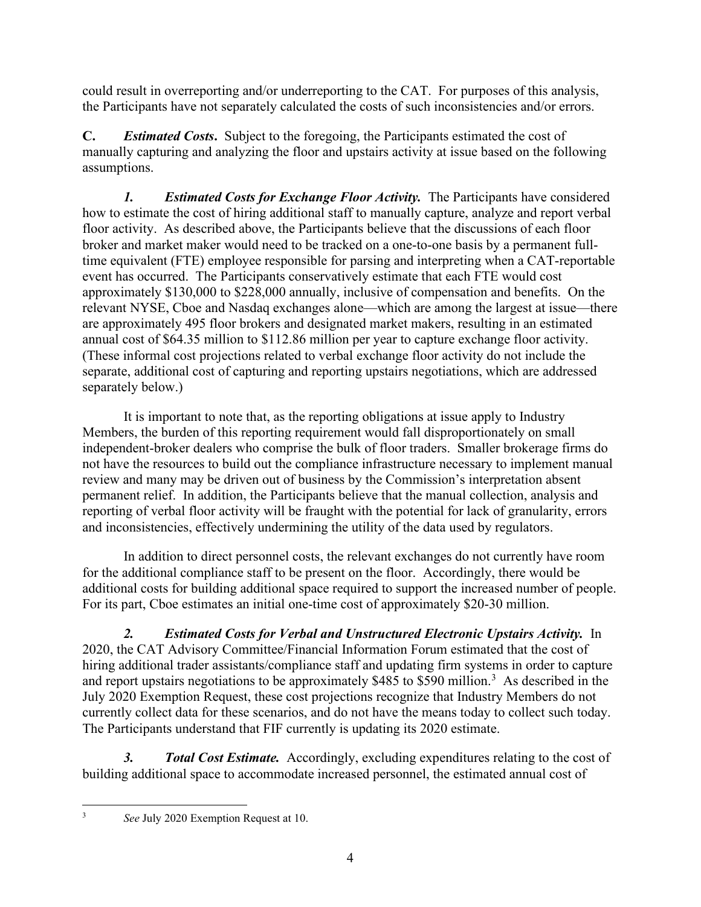could result in overreporting and/or underreporting to the CAT. For purposes of this analysis, the Participants have not separately calculated the costs of such inconsistencies and/or errors.

**C.** *Estimated Costs***.** Subject to the foregoing, the Participants estimated the cost of manually capturing and analyzing the floor and upstairs activity at issue based on the following assumptions.

*1. Estimated Costs for Exchange Floor Activity.* The Participants have considered how to estimate the cost of hiring additional staff to manually capture, analyze and report verbal floor activity. As described above, the Participants believe that the discussions of each floor broker and market maker would need to be tracked on a one-to-one basis by a permanent fulltime equivalent (FTE) employee responsible for parsing and interpreting when a CAT-reportable event has occurred. The Participants conservatively estimate that each FTE would cost approximately \$130,000 to \$228,000 annually, inclusive of compensation and benefits. On the relevant NYSE, Cboe and Nasdaq exchanges alone—which are among the largest at issue—there are approximately 495 floor brokers and designated market makers, resulting in an estimated annual cost of \$64.35 million to \$112.86 million per year to capture exchange floor activity. (These informal cost projections related to verbal exchange floor activity do not include the separate, additional cost of capturing and reporting upstairs negotiations, which are addressed separately below.)

It is important to note that, as the reporting obligations at issue apply to Industry Members, the burden of this reporting requirement would fall disproportionately on small independent-broker dealers who comprise the bulk of floor traders. Smaller brokerage firms do not have the resources to build out the compliance infrastructure necessary to implement manual review and many may be driven out of business by the Commission's interpretation absent permanent relief. In addition, the Participants believe that the manual collection, analysis and reporting of verbal floor activity will be fraught with the potential for lack of granularity, errors and inconsistencies, effectively undermining the utility of the data used by regulators.

In addition to direct personnel costs, the relevant exchanges do not currently have room for the additional compliance staff to be present on the floor. Accordingly, there would be additional costs for building additional space required to support the increased number of people. For its part, Cboe estimates an initial one-time cost of approximately \$20-30 million.

*2. Estimated Costs for Verbal and Unstructured Electronic Upstairs Activity.* In 2020, the CAT Advisory Committee/Financial Information Forum estimated that the cost of hiring additional trader assistants/compliance staff and updating firm systems in order to capture and report upstairs negotiations to be approximately \$485 to \$590 million.<sup>3</sup> As described in the July 2020 Exemption Request, these cost projections recognize that Industry Members do not currently collect data for these scenarios, and do not have the means today to collect such today. The Participants understand that FIF currently is updating its 2020 estimate.

*3. Total Cost Estimate.* Accordingly, excluding expenditures relating to the cost of building additional space to accommodate increased personnel, the estimated annual cost of

<sup>3</sup> *See* July 2020 Exemption Request at 10.